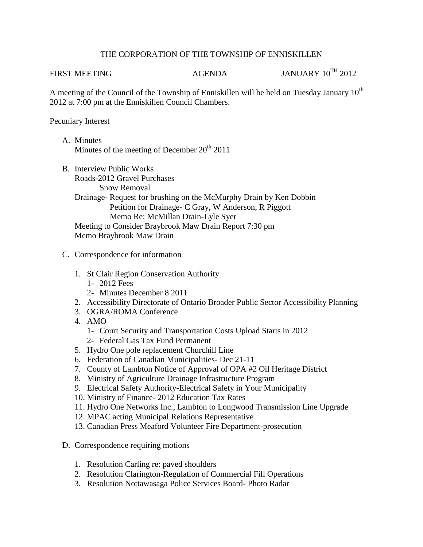## THE CORPORATION OF THE TOWNSHIP OF ENNISKILLEN

FIRST MEETING AGENDA AGENDA JANUARY 10<sup>TH</sup> 2012

A meeting of the Council of the Township of Enniskillen will be held on Tuesday January  $10^{th}$ 2012 at 7:00 pm at the Enniskillen Council Chambers.

## Pecuniary Interest

- A. Minutes Minutes of the meeting of December  $20^{th}$  2011
- B. Interview Public Works Roads-2012 Gravel Purchases Snow Removal Drainage- Request for brushing on the McMurphy Drain by Ken Dobbin Petition for Drainage- C Gray, W Anderson, R Piggott Memo Re: McMillan Drain-Lyle Syer Meeting to Consider Braybrook Maw Drain Report 7:30 pm Memo Braybrook Maw Drain
- C. Correspondence for information
	- 1. St Clair Region Conservation Authority
		- 1- 2012 Fees
		- 2- Minutes December 8 2011
	- 2. Accessibility Directorate of Ontario Broader Public Sector Accessibility Planning
	- 3. OGRA/ROMA Conference
	- 4. AMO
		- 1- Court Security and Transportation Costs Upload Starts in 2012
		- 2- Federal Gas Tax Fund Permanent
	- 5. Hydro One pole replacement Churchill Line
	- 6. Federation of Canadian Municipalities- Dec 21-11
	- 7. County of Lambton Notice of Approval of OPA #2 Oil Heritage District
	- 8. Ministry of Agriculture Drainage Infrastructure Program
	- 9. Electrical Safety Authority-Electrical Safety in Your Municipality
	- 10. Ministry of Finance- 2012 Education Tax Rates
	- 11. Hydro One Networks Inc., Lambton to Longwood Transmission Line Upgrade
	- 12. MPAC acting Municipal Relations Representative
	- 13. Canadian Press Meaford Volunteer Fire Department-prosecution
- D. Correspondence requiring motions
	- 1. Resolution Carling re: paved shoulders
	- 2. Resolution Clarington-Regulation of Commercial Fill Operations
	- 3. Resolution Nottawasaga Police Services Board- Photo Radar